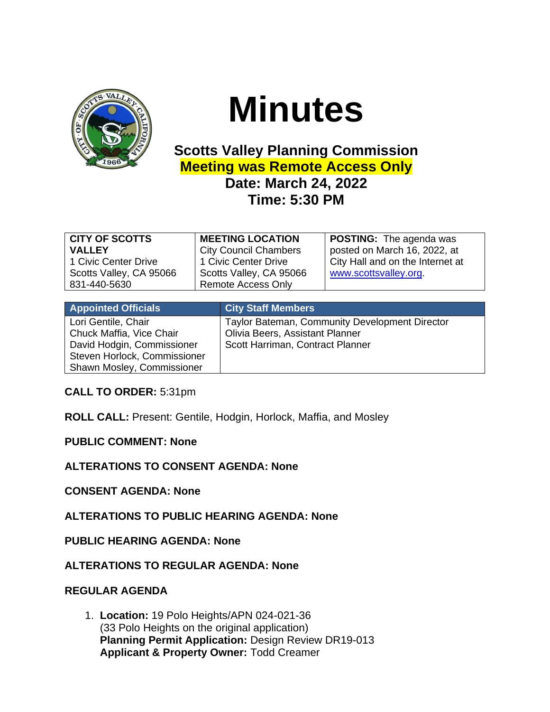

# **Minutes**

# **Scotts Valley Planning Commission Meeting was Remote Access Only Date: March 24, 2022 Time: 5:30 PM**

| <b>CITY OF SCOTTS</b>   | <b>MEETING LOCATION</b>      | <b>POSTING:</b> The agenda was   |
|-------------------------|------------------------------|----------------------------------|
| <b>VALLEY</b>           | <b>City Council Chambers</b> | posted on March 16, 2022, at     |
| 1 Civic Center Drive    | 1 Civic Center Drive         | City Hall and on the Internet at |
| Scotts Valley, CA 95066 | Scotts Valley, CA 95066      | www.scottsvalley.org.            |
| 831-440-5630            | <b>Remote Access Only</b>    |                                  |

| <b>Appointed Officials</b>   | <b>City Staff Members</b>                      |
|------------------------------|------------------------------------------------|
| Lori Gentile, Chair          | Taylor Bateman, Community Development Director |
| Chuck Maffia, Vice Chair     | Olivia Beers, Assistant Planner                |
| David Hodgin, Commissioner   | Scott Harriman, Contract Planner               |
| Steven Horlock, Commissioner |                                                |
| Shawn Mosley, Commissioner   |                                                |

**CALL TO ORDER:** 5:31pm

**ROLL CALL:** Present: Gentile, Hodgin, Horlock, Maffia, and Mosley

**PUBLIC COMMENT: None**

**ALTERATIONS TO CONSENT AGENDA: None**

**CONSENT AGENDA: None**

**ALTERATIONS TO PUBLIC HEARING AGENDA: None**

**PUBLIC HEARING AGENDA: None**

**ALTERATIONS TO REGULAR AGENDA: None**

## **REGULAR AGENDA**

1. **Location:** 19 Polo Heights/APN 024-021-36 (33 Polo Heights on the original application) **Planning Permit Application:** Design Review DR19-013 **Applicant & Property Owner:** Todd Creamer